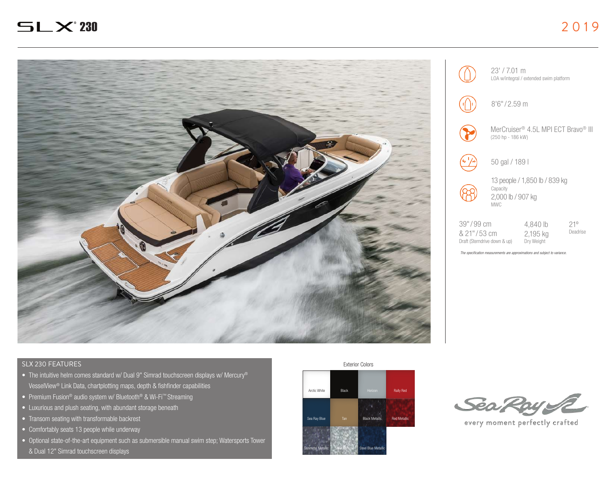

# SLX 230 FEATURES

- The intuitive helm comes standard w/ Dual 9" Simrad touchscreen displays w/ Mercury® VesselView® Link Data, chartplotting maps, depth & fishfinder capabilities
- Premium Fusion® audio system w/ Bluetooth® & Wi-Fi™ Streaming
- Luxurious and plush seating, with abundant storage beneath
- Transom seating with transformable backrest
- Comfortably seats 13 people while underway
- Optional state-of-the-art equipment such as submersible manual swim step; Watersports Tower & Dual 12" Simrad touchscreen displays





23' / 7.01 m LOA w/integral / extended swim platform



 $8'6''/2.59$  m



MerCruiser® 4.5L MPI ECT Bravo® III (250 hp - 186 kW)



50 gal / 189 l



13 people / 1,850 lb / 839 kg **Capacity** 2,000 lb / 907 kg

| 39" / 99 cm                  | 4.840 lb   |
|------------------------------|------------|
| & 21"/53 cm                  | 2,195 kg   |
| Draft (Sterndrive down & up) | Dry Weight |

21º Deadrise

*The specification measurements are approximations and subject to variance.*

Exterior Colors



every moment perfectly crafted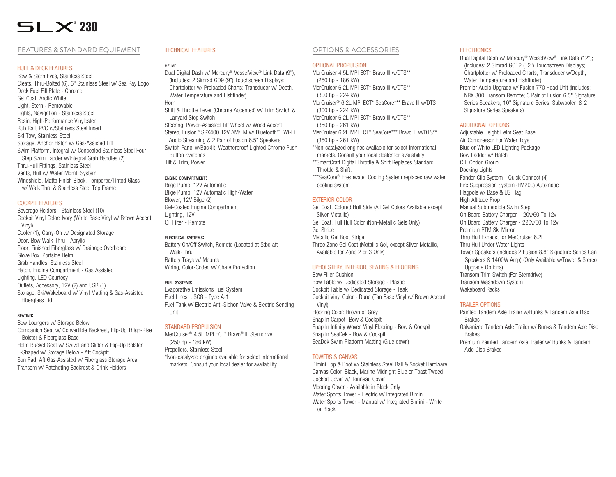# $\Xi$ l  $\times$  230

# FEATURES & STANDARD EQUIPMENT

## HULL & DECK FEATURES

Bow & Stern Eyes, Stainless Steel Cleats, Thru-Bolted (6), 6" Stainless Steel w/ Sea Ray Logo Deck Fuel Fill Plate - Chrome Gel Coat, Arctic White Light, Stern - Removable Lights, Navigation - Stainless Steel Resin, High-Performance Vinylester Rub Rail, PVC w/Stainless Steel Insert Ski Tow, Stainless Steel Storage, Anchor Hatch w/ Gas-Assisted Lift Swim Platform, Integral w/ Concealed Stainless Steel Four-Step Swim Ladder w/Integral Grab Handles (2) Thru-Hull Fittings, Stainless Steel Vents, Hull w/ Water Mamt. System Windshield, Matte Finish Black, Tempered/Tinted Glass w/ Walk Thru & Stainless Steel Top Frame

#### COCKPIT FEATURES

Beverage Holders - Stainless Steel (10) Cockpit Vinyl Color: Ivory (White Base Vinyl w/ Brown Accent Vinyl) Cooler (1), Carry-On w/ Designated Storage Door, Bow Walk-Thru - Acrylic Floor, Finished Fiberglass w/ Drainage Overboard Glove Box, Portside Helm Grab Handles, Stainless Steel Hatch, Engine Compartment - Gas Assisted Lighting, LED Courtesy Outlets, Accessory, 12V (2) and USB (1) Storage, Ski/Wakeboard w/ Vinyl Matting & Gas-Assisted Fiberglass Lid

#### seating:

Bow Loungers w/ Storage Below Companion Seat w/ Convertible Backrest, Flip-Up Thigh-Rise Bolster & Fiberglass Base Helm Bucket Seat w/ Swivel and Slider & Flip-Up Bolster L-Shaped w/ Storage Below - Aft Cockpit Sun Pad, Aft Gas-Assisted w/ Fiberglass Storage Area Transom w/ Ratcheting Backrest & Drink Holders

# TECHNICAL FEATURES

## helm:

Dual Digital Dash w/ Mercury® VesselView® Link Data (9"); (Includes: 2 Simrad GO9 (9") Touchscreen Displays; Chartplotter w/ Preloaded Charts; Transducer w/ Depth, Water Temperature and Fishfinder) Horn

Shift & Throttle Lever (Chrome Accented) w/ Trim Switch & Lanyard Stop Switch Steering, Power-Assisted Tilt Wheel w/ Wood Accent

Stereo, Fusion® SRX400 12V AM/FM w/ Bluetooth™, Wi-Fi Audio Streaming & 2 Pair of Fusion 6.5" Speakers Switch Panel w/Backlit, Weatherproof Lighted Chrome Push-Button Switches

Tilt & Trim, Power

# engine compartment:

Bilge Pump, 12V Automatic Bilge Pump, 12V Automatic High-Water Blower, 12V Bilge (2) Gel-Coated Engine Compartment Lighting, 12V Oil Filter - Remote

#### electrical systems:

Battery On/Off Switch, Remote (Located at Stbd aft Walk-Thru) Battery Trays w/ Mounts Wiring, Color-Coded w/ Chafe Protection

#### fuel systems:

Evaporative Emissions Fuel System Fuel Lines, USCG - Type A-1 Fuel Tank w/ Electric Anti-Siphon Valve & Electric Sending Unit

#### STANDARD PROPULSION

MerCruiser® 4.5L MPI ECT\* Bravo® III Sterndrive (250 hp - 186 kW) Propellers, Stainless Steel \*Non-catalyzed engines available for select international markets. Consult your local dealer for availability.

# OPTIONS & ACCESSORIES

#### OPTIONAL PROPULSION

MerCruiser 4.5L MPI ECT\* Bravo III w/DTS\*\* (250 hp - 186 kW) MerCruiser 6.2L MPI FCT\* Bravo III w/DTS\*\* (300 hp - 224 kW) MerCruiser® 6.2L MPI ECT\* SeaCore\*\*\* Bravo III w/DTS (300 hp - 224 kW) MerCruiser 6.2L MPI ECT\* Bravo III w/DTS\*\* (350 hp - 261 kW) MerCruiser 6.2L MPI ECT\* SeaCore\*\*\* Bravo III w/DTS\*\* (350 hp - 261 kW) \*Non-catalyzed engines available for select international

- markets. Consult your local dealer for availability. \*\*SmartCraft Digital Throttle & Shift Replaces Standard
- Throttle & Shift.
- \*\*\*SeaCore® Freshwater Cooling System replaces raw water cooling system

## EXTERIOR COLOR

Gel Coat, Colored Hull Side (All Gel Colors Available except Silver Metallic) Gel Coat, Full Hull Color (Non-Metallic Gels Only) Gel Stripe Metallic Gel Boot Stripe Three Zone Gel Coat (Metallic Gel, except Silver Metallic, Available for Zone 2 or 3 Only)

#### UPHOLSTERY, INTERIOR, SEATING & FLOORING

Bow Filler Cushion

Bow Table w/ Dedicated Storage - Plastic Cockpit Table w/ Dedicated Storage - Teak Cockpit Vinyl Color - Dune (Tan Base Vinyl w/ Brown Accent Vinyl) Flooring Color: Brown or Grey Snap In Carpet -Bow & Cockpit Snap In Infinity Woven Vinyl Flooring - Bow & Cockpit Snap In SeaDek - Bow & Cockpit SeaDek Swim Platform Matting (Glue down)

#### TOWERS & CANVAS

Bimini Top & Boot w/ Stainless Steel Ball & Socket Hardware Canvas Color: Black, Marine Midnight Blue or Toast Tweed Cockpit Cover w/ Tonneau Cover Mooring Cover - Available in Black Only Water Sports Tower - Electric w/ Integrated Bimini Water Sports Tower - Manual w/ Integrated Bimini - White or Black

### **ELECTRONICS**

- Dual Digital Dash w/ Mercury® VesselView® Link Data (12"); (Includes: 2 Simrad GO12 (12") Touchscreen Displays; Chartplotter w/ Preloaded Charts; Transducer w/Depth, Water Temperature and Fishfinder)
- Premier Audio Upgrade w/ Fusion 770 Head Unit (Includes: NRX 300 Transom Remote; 3 Pair of Fusion 6.5" Signature Series Speakers; 10" Signature Series Subwoofer & 2 Signature Series Speakers)

## ADDITIONAL OPTIONS

Adjustable Height Helm Seat Base Air Compressor For Water Toys Blue or White LED Lighting Package Bow Ladder w/ Hatch C E Option Group Docking Lights Fender Clip System - Quick Connect (4) Fire Suppression System (FM200) Automatic Flagpole w/ Base & US Flag High Altitude Prop Manual Submersible Swim Step On Board Battery Charger 120v/60 To 12v On Board Battery Charger - 220v/50 To 12v Premium PTM Ski Mirror Thru Hull Exhaust for MerCruiser 6.2L Thru Hull Under Water Lights Tower Speakers (Includes 2 Fusion 8.8" Signature Series Can Speakers & 1400W Amp) (Only Available w/Tower & Stereo Upgrade Options) Transom Trim Switch (For Sterndrive) Transom Washdown System Wakeboard Racks

# TRAILER OPTIONS

Painted Tandem Axle Trailer w/Bunks & Tandem Axle Disc Brakes Galvanized Tandem Axle Trailer w/ Bunks & Tandem Axle Disc Brakes Premium Painted Tandem Axle Trailer w/ Bunks & Tandem Axle Disc Brakes